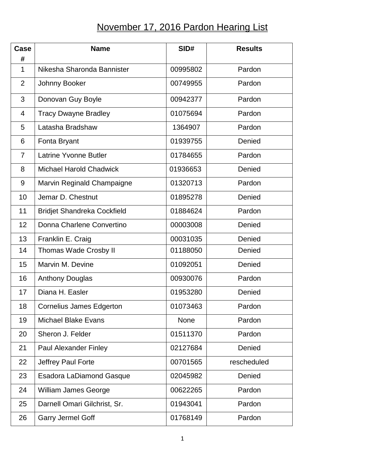## November 17, 2016 Pardon Hearing List

| Case<br>#      | <b>Name</b>                        | SID#     | <b>Results</b> |
|----------------|------------------------------------|----------|----------------|
| $\mathbf{1}$   | Nikesha Sharonda Bannister         | 00995802 | Pardon         |
| $\overline{2}$ | Johnny Booker                      | 00749955 | Pardon         |
| 3              | Donovan Guy Boyle                  | 00942377 | Pardon         |
| $\overline{4}$ | <b>Tracy Dwayne Bradley</b>        | 01075694 | Pardon         |
| 5              | Latasha Bradshaw                   | 1364907  | Pardon         |
| 6              | Fonta Bryant                       | 01939755 | Denied         |
| $\overline{7}$ | <b>Latrine Yvonne Butler</b>       | 01784655 | Pardon         |
| 8              | <b>Michael Harold Chadwick</b>     | 01936653 | Denied         |
| 9              | Marvin Reginald Champaigne         | 01320713 | Pardon         |
| 10             | Jemar D. Chestnut                  | 01895278 | Denied         |
| 11             | <b>Bridjet Shandreka Cockfield</b> | 01884624 | Pardon         |
| 12             | Donna Charlene Convertino          | 00003008 | Denied         |
| 13             | Franklin E. Craig                  | 00031035 | Denied         |
| 14             | <b>Thomas Wade Crosby II</b>       | 01188050 | Denied         |
| 15             | Marvin M. Devine                   | 01092051 | Denied         |
| 16             | <b>Anthony Douglas</b>             | 00930076 | Pardon         |
| 17             | Diana H. Easler                    | 01953280 | Denied         |
| 18             | Cornelius James Edgerton           | 01073463 | Pardon         |
| 19             | <b>Michael Blake Evans</b>         | None     | Pardon         |
| 20             | Sheron J. Felder                   | 01511370 | Pardon         |
| 21             | <b>Paul Alexander Finley</b>       | 02127684 | Denied         |
| 22             | Jeffrey Paul Forte                 | 00701565 | rescheduled    |
| 23             | <b>Esadora LaDiamond Gasque</b>    | 02045982 | Denied         |
| 24             | <b>William James George</b>        | 00622265 | Pardon         |
| 25             | Darnell Omari Gilchrist, Sr.       | 01943041 | Pardon         |
| 26             | <b>Garry Jermel Goff</b>           | 01768149 | Pardon         |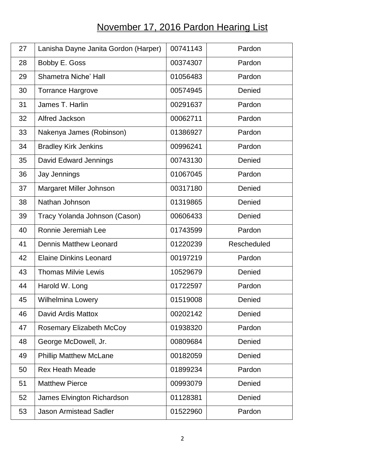## November 17, 2016 Pardon Hearing List

| 27 | Lanisha Dayne Janita Gordon (Harper) | 00741143 | Pardon             |
|----|--------------------------------------|----------|--------------------|
| 28 | Bobby E. Goss                        | 00374307 | Pardon             |
| 29 | <b>Shametra Niche' Hall</b>          | 01056483 | Pardon             |
| 30 | <b>Torrance Hargrove</b>             | 00574945 | Denied             |
| 31 | James T. Harlin                      | 00291637 | Pardon             |
| 32 | Alfred Jackson                       | 00062711 | Pardon             |
| 33 | Nakenya James (Robinson)             | 01386927 | Pardon             |
| 34 | <b>Bradley Kirk Jenkins</b>          | 00996241 | Pardon             |
| 35 | David Edward Jennings                | 00743130 | Denied             |
| 36 | Jay Jennings                         | 01067045 | Pardon             |
| 37 | Margaret Miller Johnson              | 00317180 | Denied             |
| 38 | Nathan Johnson                       | 01319865 | Denied             |
| 39 | Tracy Yolanda Johnson (Cason)        | 00606433 | Denied             |
| 40 | Ronnie Jeremiah Lee                  | 01743599 | Pardon             |
| 41 | <b>Dennis Matthew Leonard</b>        | 01220239 | <b>Rescheduled</b> |
| 42 | <b>Elaine Dinkins Leonard</b>        | 00197219 | Pardon             |
| 43 | <b>Thomas Milvie Lewis</b>           | 10529679 | Denied             |
| 44 | Harold W. Long                       | 01722597 | Pardon             |
| 45 | <b>Wilhelmina Lowery</b>             | 01519008 | Denied             |
| 46 | David Ardis Mattox                   | 00202142 | Denied             |
| 47 | <b>Rosemary Elizabeth McCoy</b>      | 01938320 | Pardon             |
| 48 | George McDowell, Jr.                 | 00809684 | Denied             |
| 49 | <b>Phillip Matthew McLane</b>        | 00182059 | Denied             |
| 50 | <b>Rex Heath Meade</b>               | 01899234 | Pardon             |
| 51 | <b>Matthew Pierce</b>                | 00993079 | Denied             |
| 52 | James Elvington Richardson           | 01128381 | Denied             |
| 53 | <b>Jason Armistead Sadler</b>        | 01522960 | Pardon             |